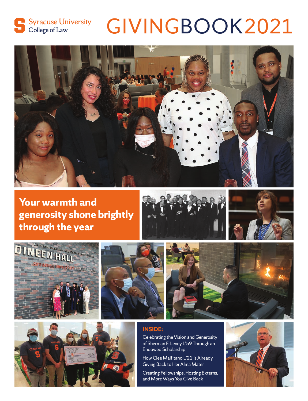

# GIVINGBOOK2021



**Your warmth and generosity shone brightly through the year**













#### **INSIDE:**

Celebrating the Vision and Generosity of Sherman F. Levey L'59 Through an Endowed Scholarship

How Clee Malfitano L'21 is Already Giving Back to Her Alma Mater

Creating Fellowships, Hosting Externs, and More Ways You Give Back